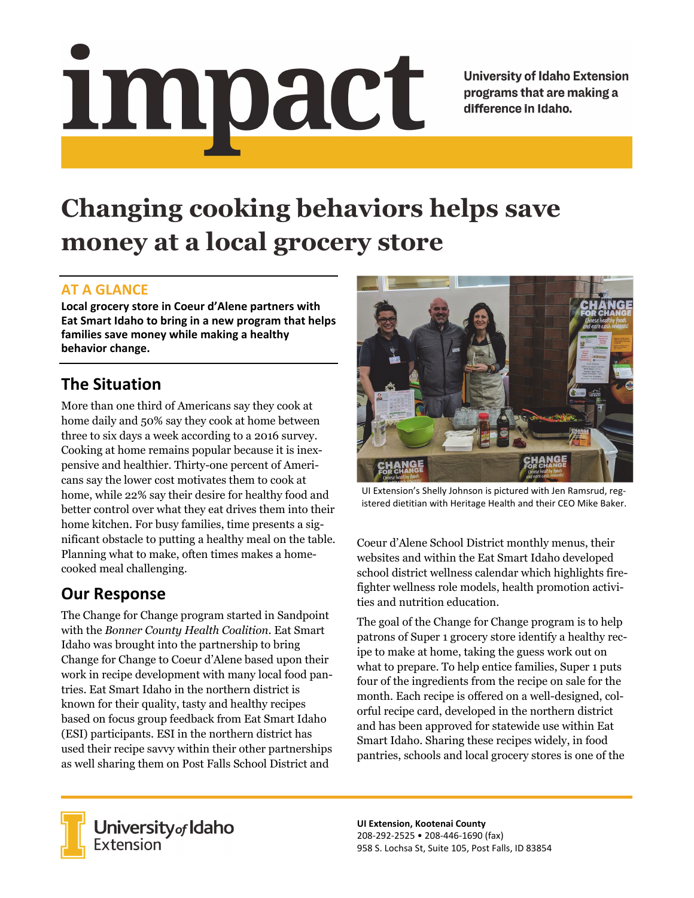# Impact

**University of Idaho Extension** programs that are making a difference in Idaho.

# **Changing cooking behaviors helps save money at a local grocery store**

### **AT A GLANCE**

**Local grocery store in Coeur d'Alene partners with Eat Smart Idaho to bring in a new program that helps families save money while making a healthy behavior change.**

## **The Situation**

More than one third of Americans say they cook at home daily and 50% say they cook at home between three to six days a week according to a 2016 survey. Cooking at home remains popular because it is inexpensive and healthier. Thirty-one percent of Americans say the lower cost motivates them to cook at home, while 22% say their desire for healthy food and better control over what they eat drives them into their home kitchen. For busy families, time presents a significant obstacle to putting a healthy meal on the table. Planning what to make, often times makes a homecooked meal challenging.

## **Our Response**

The Change for Change program started in Sandpoint with the *Bonner County Health Coalition*. Eat Smart Idaho was brought into the partnership to bring Change for Change to Coeur d'Alene based upon their work in recipe development with many local food pantries. Eat Smart Idaho in the northern district is known for their quality, tasty and healthy recipes based on focus group feedback from Eat Smart Idaho (ESI) participants. ESI in the northern district has used their recipe savvy within their other partnerships as well sharing them on Post Falls School District and



UI Extension's Shelly Johnson is pictured with Jen Ramsrud, reg‐ istered dietitian with Heritage Health and their CEO Mike Baker.

Coeur d'Alene School District monthly menus, their websites and within the Eat Smart Idaho developed school district wellness calendar which highlights firefighter wellness role models, health promotion activities and nutrition education.

The goal of the Change for Change program is to help patrons of Super 1 grocery store identify a healthy recipe to make at home, taking the guess work out on what to prepare. To help entice families, Super 1 puts four of the ingredients from the recipe on sale for the month. Each recipe is offered on a well-designed, colorful recipe card, developed in the northern district and has been approved for statewide use within Eat Smart Idaho. Sharing these recipes widely, in food pantries, schools and local grocery stores is one of the



**University** of Idaho<br>Extension

**UI Extension, Kootenai County** 208‐292‐2525 • 208‐446‐1690 (fax) 958 S. Lochsa St, Suite 105, Post Falls, ID 83854